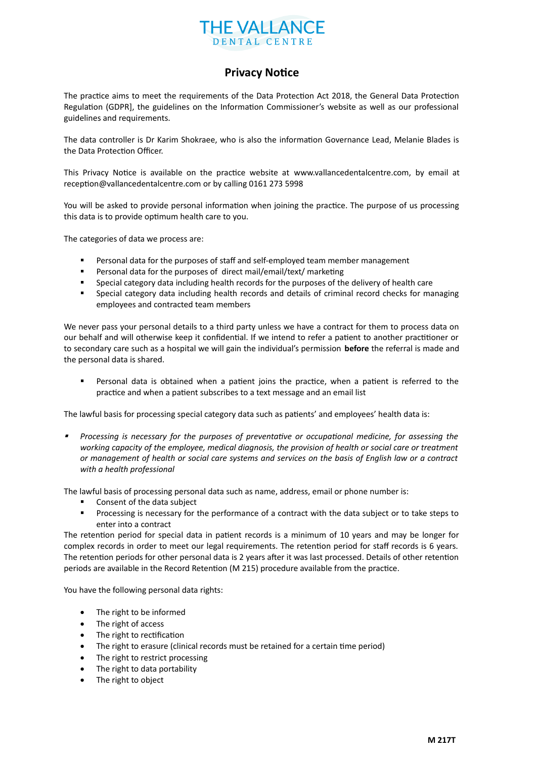

## **Privacy Notice**

The practice aims to meet the requirements of the Data Protection Act 2018, the General Data Protection Regulation (GDPR], the guidelines on the Information Commissioner's website as well as our professional guidelines and requirements.

The data controller is Dr Karim Shokraee, who is also the information Governance Lead, Melanie Blades is the Data Protection Officer.

This Privacy Notice is available on the practice website at www.vallancedentalcentre.com, by email at reception@vallancedentalcentre.com or by calling 0161 273 5998

You will be asked to provide personal information when joining the practice. The purpose of us processing this data is to provide optimum health care to you.

The categories of data we process are:

- **Personal data for the purposes of staff and self-employed team member management**
- Personal data for the purposes of direct mail/email/text/ marketing
- Special category data including health records for the purposes of the delivery of health care
- Special category data including health records and details of criminal record checks for managing employees and contracted team members

We never pass your personal details to a third party unless we have a contract for them to process data on our behalf and will otherwise keep it confidential. If we intend to refer a patient to another practitioner or to secondary care such as a hospital we will gain the individual's permission **before** the referral is made and the personal data is shared.

 Personal data is obtained when a patient joins the practice, when a patient is referred to the practice and when a patient subscribes to a text message and an email list

The lawful basis for processing special category data such as patients' and employees' health data is:

 *Processing is necessary for the purposes of preventative or occupational medicine, for assessing the working capacity of the employee, medical diagnosis, the provision of health or social care or treatment or management of health or social care systems and services on the basis of English law or a contract with a health professional*

The lawful basis of processing personal data such as name, address, email or phone number is:

- Consent of the data subject
- Processing is necessary for the performance of a contract with the data subject or to take steps to enter into a contract

The retention period for special data in patient records is a minimum of 10 years and may be longer for complex records in order to meet our legal requirements. The retention period for staff records is 6 years. The retention periods for other personal data is 2 years after it was last processed. Details of other retention periods are available in the Record Retention (M 215) procedure available from the practice.

You have the following personal data rights:

- The right to be informed
- The right of access
- The right to rectification
- The right to erasure (clinical records must be retained for a certain time period)
- The right to restrict processing
- The right to data portability
- The right to object